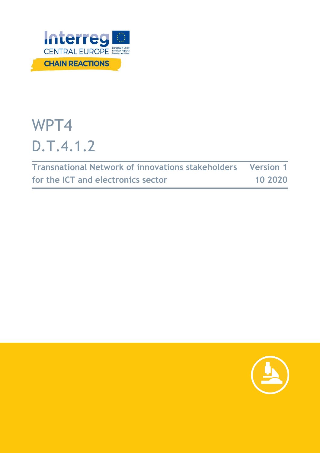

# WPT4 D.T.4.1.2

| <b>Transnational Network of innovations stakeholders Version 1</b> |         |
|--------------------------------------------------------------------|---------|
| for the ICT and electronics sector                                 | 10 2020 |

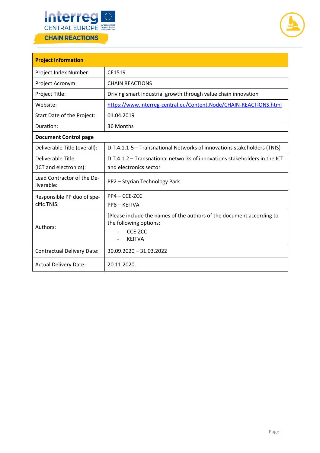



| <b>Project information</b>               |                                                                                                                             |  |  |  |
|------------------------------------------|-----------------------------------------------------------------------------------------------------------------------------|--|--|--|
| Project Index Number:                    | CE1519                                                                                                                      |  |  |  |
| Project Acronym:                         | <b>CHAIN REACTIONS</b>                                                                                                      |  |  |  |
| Project Title:                           | Driving smart industrial growth through value chain innovation                                                              |  |  |  |
| Website:                                 | https://www.interreg-central.eu/Content.Node/CHAIN-REACTIONS.html                                                           |  |  |  |
| Start Date of the Project:               | 01.04.2019                                                                                                                  |  |  |  |
| Duration:                                | 36 Months                                                                                                                   |  |  |  |
| <b>Document Control page</b>             |                                                                                                                             |  |  |  |
| Deliverable Title (overall):             | D.T.4.1.1-5 - Transnational Networks of innovations stakeholders (TNIS)                                                     |  |  |  |
| Deliverable Title                        | D.T.4.1.2 - Transnational networks of innovations stakeholders in the ICT                                                   |  |  |  |
| (ICT and electronics):                   | and electronics sector                                                                                                      |  |  |  |
| Lead Contractor of the De-<br>liverable: | PP2 - Styrian Technology Park                                                                                               |  |  |  |
| Responsible PP duo of spe-               | PP4 - CCE-ZCC                                                                                                               |  |  |  |
| cific TNIS:                              | PP8 - KEITVA                                                                                                                |  |  |  |
| Authors:                                 | [Please include the names of the authors of the document according to<br>the following options:<br>CCE-ZCC<br><b>KEITVA</b> |  |  |  |
| <b>Contractual Delivery Date:</b>        | 30.09.2020 - 31.03.2022                                                                                                     |  |  |  |
| <b>Actual Delivery Date:</b>             | 20.11.2020.                                                                                                                 |  |  |  |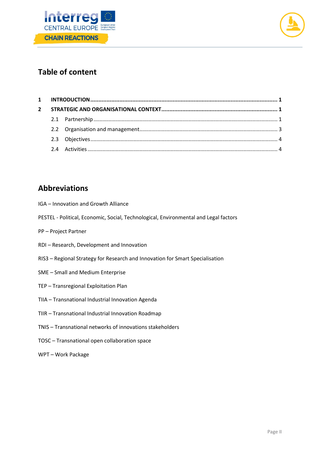



# **Table of content**

| $\mathbf{2}$ |  |  |
|--------------|--|--|
|              |  |  |
|              |  |  |
|              |  |  |
|              |  |  |

# **Abbreviations**

- IGA Innovation and Growth Alliance
- PESTEL Political, Economic, Social, Technological, Environmental and Legal factors
- PP Project Partner
- RDI Research, Development and Innovation
- RIS3 Regional Strategy for Research and Innovation for Smart Specialisation
- SME Small and Medium Enterprise
- TEP Transregional Exploitation Plan
- TIIA Transnational Industrial Innovation Agenda
- TIIR Transnational Industrial Innovation Roadmap
- TNIS Transnational networks of innovations stakeholders
- TOSC Transnational open collaboration space
- WPT Work Package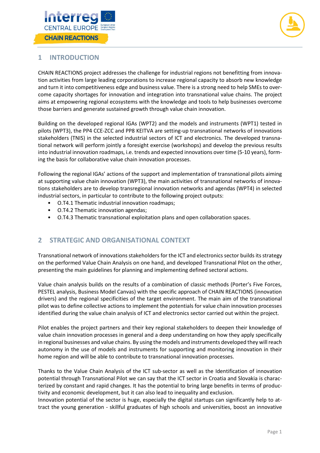



## <span id="page-3-0"></span>**1 INTRODUCTION**

CHAIN REACTIONS project addresses the challenge for industrial regions not benefitting from innovation activities from large leading corporations to increase regional capacity to absorb new knowledge and turn it into competitiveness edge and business value. There is a strong need to help SMEs to overcome capacity shortages for innovation and integration into transnational value chains. The project aims at empowering regional ecosystems with the knowledge and tools to help businesses overcome those barriers and generate sustained growth through value chain innovation.

Building on the developed regional IGAs (WPT2) and the models and instruments (WPT1) tested in pilots (WPT3), the PP4 CCE-ZCC and PP8 KEITVA are setting-up transnational networks of innovations stakeholders (TNIS) in the selected industrial sectors of ICT and electronics. The developed transnational network will perform jointly a foresight exercise (workshops) and develop the previous results into industrial innovation roadmaps, i.e. trends and expected innovations over time (5-10 years), forming the basis for collaborative value chain innovation processes.

Following the regional IGAs' actions of the support and implementation of transnational pilots aiming at supporting value chain innovation (WPT3), the main activities of transnational networks of innovations stakeholders are to develop transregional innovation networks and agendas (WPT4) in selected industrial sectors, in particular to contribute to the following project outputs:

- O.T4.1 Thematic industrial innovation roadmaps;
- O.T4.2 Thematic innovation agendas;
- O.T4.3 Thematic transnational exploitation plans and open collaboration spaces.

## <span id="page-3-1"></span>**2 STRATEGIC AND ORGANISATIONAL CONTEXT**

Transnational network of innovations stakeholders for the ICT and electronics sector builds its strategy on the performed Value Chain Analysis on one hand, and developed Transnational Pilot on the other, presenting the main guidelines for planning and implementing defined sectoral actions.

Value chain analysis builds on the results of a combination of classic methods (Porter's Five Forces, PESTEL analysis, Business Model Canvas) with the specific approach of CHAIN REACTIONS (innovation drivers) and the regional specificities of the target environment. The main aim of the transnational pilot was to define collective actions to implement the potentials for value chain innovation processes identified during the value chain analysis of ICT and electronics sector carried out within the project.

Pilot enables the project partners and their key regional stakeholders to deepen their knowledge of value chain innovation processes in general and a deep understanding on how they apply specifically in regional businesses and value chains. By using the models and instruments developed they will reach autonomy in the use of models and instruments for supporting and monitoring innovation in their home region and will be able to contribute to transnational innovation processes.

<span id="page-3-2"></span>Thanks to the Value Chain Analysis of the ICT sub-sector as well as the Identification of innovation potential through Transnational Pilot we can say that the ICT sector in Croatia and Slovakia is characterized by constant and rapid changes. It has the potential to bring large benefits in terms of productivity and economic development, but it can also lead to inequality and exclusion.

Innovation potential of the sector is huge, especially the digital startups can significantly help to attract the young generation - skillful graduates of high schools and universities, boost an innovative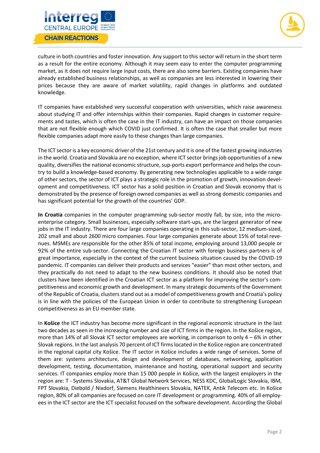



culture in both countries and foster innovation. Any support to this sector will return in the short term as a result for the entire economy. Although it may seem easy to enter the computer programming market, as it does not require large input costs, there are also some barriers. Existing companies have already established business relationships, as well as companies are less interested in lowering their prices because they are aware of market volatility, rapid changes in platforms and outdated knowledge.

IT companies have established very successful cooperation with universities, which raise awareness about studying IT and offer internships within their companies. Rapid changes in customer requirements and tastes, which is often the case in the IT industry, can have an impact on those companies that are not flexible enough which COVID just confirmed. It is often the case that smaller but more flexible companies adapt more easily to these changes than large companies.

The ICT sector is a key economic driver of the 21st century and it is one of the fastest growing industries in the world. Croatia and Slovakia are no exception, where ICT sector brings job opportunities of a new quality, diversifies the national economic structure, sup-ports export performance and helps the country to build a knowledge-based economy. By generating new technologies applicable to a wide range of other sectors, the sector of ICT plays a strategic role in the promotion of growth, innovation development and competitiveness. ICT sector has a solid position in Croatian and Slovak economy that is demonstrated by the presence of foreign owned companies as well as strong domestic companies and has significant potential for the growth of the countries' GDP.

**In Croatia** companies in the computer programming sub-sector mostly fall, by size, into the microenterprise category. Small businesses, especially software start-ups, are the largest generator of new jobs in the IT industry. There are four large companies operating in this sub-sector, 12 medium-sized, 202 small and about 2600 micro companies. Four large companies generate about 15% of total revenues. MSMEs are responsible for the other 85% of total income, employing around 13,000 people or 92% of the entire sub-sector. Connecting the Croatian IT sector with foreign business partners is of great importance, especially in the context of the current business situation caused by the COVID-19 pandemic. IT companies can deliver their products and services "easier" than most other sectors, and they practically do not need to adapt to the new business conditions. It should also be noted that clusters have been identified in the Croatian ICT sector as a platform for improving the sector's competitiveness and economic growth and development. In many strategic documents of the Government of the Republic of Croatia, clusters stand out as a model of competitiveness growth and Croatia's policy is in line with the policies of the European Union in order to contribute to strengthening European competitiveness as an EU member state.

In **Košice** the ICT industry has become more significant in the regional economic structure in the last two decades as seen in the increasing number and size of ICT firms in the region. In the Košice region, more than 14% of all Slovak ICT sector employees are working, in comparison to only 4 – 6% in other Slovak regions. In the last analysis 70 percent of ICT firms located in the Košice region are concentrated in the regional capital city Košice. The IT sector in Košice includes a wide range of services. Some of them are: systems architecture, design and development of databases, networking, application development, testing, documentation, maintenance and hosting, operational support and security services. IT companies employ more than 15 000 people in Košice, with the largest employers in the region are: T - Systems Slovakia, AT&T Global Network Services, NESS KDC, GlobalLogic Slovakia, IBM, FPT Slovakia, Diebold / Nixdorf, Siemens Healthineers Slovakia, NATEK, Antik Telecom etc. In Košice region, 80% of all companies are focused on core IT development or programming. 40% of all employees in the ICT sector are the ICT specialist focused on the software development. According the Global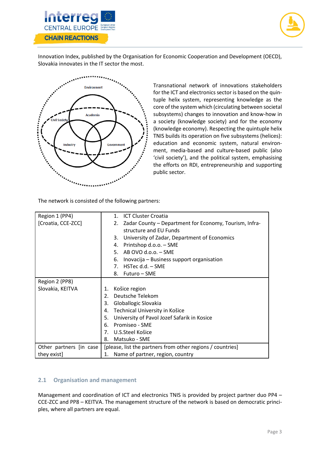



Innovation Index, published by the Organisation for Economic Cooperation and Development (OECD), Slovakia innovates in the IT sector the most.



Transnational network of innovations stakeholders for the ICT and electronics sector is based on the quintuple helix system, representing knowledge as the core of the system which (circulating between societal subsystems) changes to innovation and know-how in a society (knowledge society) and for the economy (knowledge economy). Respecting the quintuple helix TNIS builds its operation on five subsystems (helices): education and economic system, natural environment, media-based and culture-based public (also 'civil society'), and the political system, emphasising the efforts on RDI, entrepreneurship and supporting public sector.

The network is consisted of the following partners:

| Region 1 (PP4)          |    | 1. ICT Cluster Croatia                                       |
|-------------------------|----|--------------------------------------------------------------|
| [Croatia, CCE-ZCC]      |    | Zadar County – Department for Economy, Tourism, Infra-<br>2. |
|                         |    | structure and EU Funds                                       |
|                         |    | University of Zadar, Department of Economics<br>3.           |
|                         |    | Printshop d.o.o. - SME<br>4.                                 |
|                         |    | AB OVO d.o.o. - SME<br>5.                                    |
|                         |    | Inovacija – Business support organisation<br>6.              |
|                         |    | HSTec d.d. - SME<br>$7_{\cdot}$                              |
|                         |    | 8. Futuro – SME                                              |
| Region 2 (PP8)          |    |                                                              |
| Slovakia, KEITVA        | 1. | Košice region                                                |
|                         | 2. | Deutsche Telekom                                             |
|                         | 3. | Globallogic Slovakia                                         |
|                         | 4. | Technical University in Košice                               |
|                         | 5. | University of Pavol Jozef Safarik in Kosice                  |
|                         | 6. | Promiseo - SME                                               |
|                         | 7. | U.S.Steel Košice                                             |
|                         | 8. | Matsuko - SME                                                |
| Other partners [in case |    | [please, list the partners from other regions / countries]   |
| they exist]             | 1. | Name of partner, region, country                             |

### <span id="page-5-0"></span>**2.1 Organisation and management**

Management and coordination of ICT and electronics TNIS is provided by project partner duo PP4 – CCE-ZCC and PP8 – KEITVA. The management structure of the network is based on democratic principles, where all partners are equal.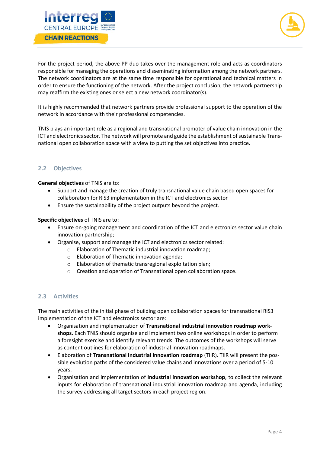



For the project period, the above PP duo takes over the management role and acts as coordinators responsible for managing the operations and disseminating information among the network partners. The network coordinators are at the same time responsible for operational and technical matters in order to ensure the functioning of the network. After the project conclusion, the network partnership may reaffirm the existing ones or select a new network coordinator(s).

It is highly recommended that network partners provide professional support to the operation of the network in accordance with their professional competencies.

TNIS plays an important role as a regional and transnational promoter of value chain innovation in the ICT and electronics sector. The network will promote and guide the establishment of sustainable Transnational open collaboration space with a view to putting the set objectives into practice.

### <span id="page-6-0"></span>**2.2 Objectives**

**General objectives** of TNIS are to:

- Support and manage the creation of truly transnational value chain based open spaces for collaboration for RIS3 implementation in the ICT and electronics sector
- Ensure the sustainability of the project outputs beyond the project.

**Specific objectives** of TNIS are to:

- Ensure on-going management and coordination of the ICT and electronics sector value chain innovation partnership;
	- Organise, support and manage the ICT and electronics sector related:
		- o Elaboration of Thematic industrial innovation roadmap;
		- o Elaboration of Thematic innovation agenda;
		- o Elaboration of thematic transregional exploitation plan;
		- o Creation and operation of Transnational open collaboration space.

#### <span id="page-6-1"></span>**2.3 Activities**

The main activities of the initial phase of building open collaboration spaces for transnational RIS3 implementation of the ICT and electronics sector are:

- Organisation and implementation of **Transnational industrial innovation roadmap workshops**. Each TNIS should organise and implement two online workshops in order to perform a foresight exercise and identify relevant trends. The outcomes of the workshops will serve as content outlines for elaboration of industrial innovation roadmaps.
- Elaboration of **Transnational industrial innovation roadmap** (TIIR). TIIR will present the possible evolution paths of the considered value chains and innovations over a period of 5-10 years.
- Organisation and implementation of **Industrial innovation workshop**, to collect the relevant inputs for elaboration of transnational industrial innovation roadmap and agenda, including the survey addressing all target sectors in each project region.